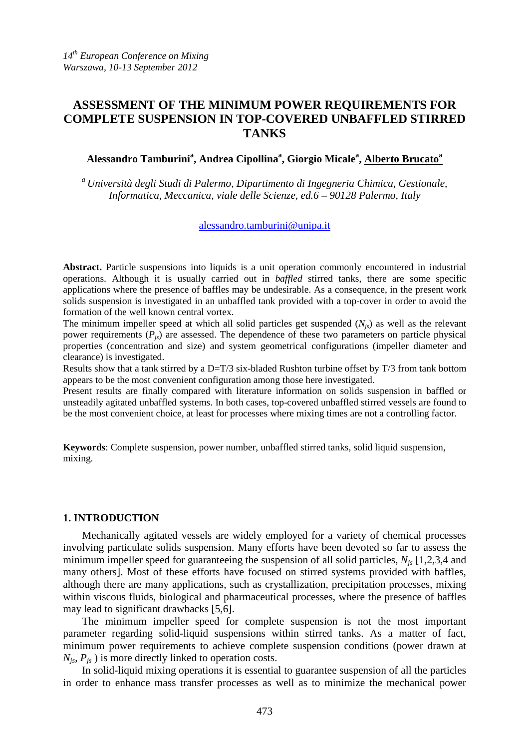# **ASSESSMENT OF THE MINIMUM POWER REQUIREMENTS FOR COMPLETE SUSPENSION IN TOP-COVERED UNBAFFLED STIRRED TANKS**

## **Alessandro Tamburini<sup>a</sup> , Andrea Cipollina<sup>a</sup> , Giorgio Micale<sup>a</sup> , Alberto Brucato<sup>a</sup>**

*<sup>a</sup>Università degli Studi di Palermo, Dipartimento di Ingegneria Chimica, Gestionale, Informatica, Meccanica, viale delle Scienze, ed.6 – 90128 Palermo, Italy* 

## alessandro.tamburini@unipa.it

**Abstract.** Particle suspensions into liquids is a unit operation commonly encountered in industrial operations. Although it is usually carried out in *baffled* stirred tanks, there are some specific applications where the presence of baffles may be undesirable. As a consequence, in the present work solids suspension is investigated in an unbaffled tank provided with a top-cover in order to avoid the formation of the well known central vortex.

The minimum impeller speed at which all solid particles get suspended  $(N_{i<sub>s</sub>})$  as well as the relevant power requirements (*Pjs*) are assessed. The dependence of these two parameters on particle physical properties (concentration and size) and system geometrical configurations (impeller diameter and clearance) is investigated.

Results show that a tank stirred by a D=T/3 six-bladed Rushton turbine offset by T/3 from tank bottom appears to be the most convenient configuration among those here investigated.

Present results are finally compared with literature information on solids suspension in baffled or unsteadily agitated unbaffled systems. In both cases, top-covered unbaffled stirred vessels are found to be the most convenient choice, at least for processes where mixing times are not a controlling factor.

**Keywords**: Complete suspension, power number, unbaffled stirred tanks, solid liquid suspension, mixing.

## **1. INTRODUCTION**

Mechanically agitated vessels are widely employed for a variety of chemical processes involving particulate solids suspension. Many efforts have been devoted so far to assess the minimum impeller speed for guaranteeing the suspension of all solid particles, *Njs* [1,2,3,4 and many others]. Most of these efforts have focused on stirred systems provided with baffles, although there are many applications, such as crystallization, precipitation processes, mixing within viscous fluids, biological and pharmaceutical processes, where the presence of baffles may lead to significant drawbacks [5,6].

The minimum impeller speed for complete suspension is not the most important parameter regarding solid-liquid suspensions within stirred tanks. As a matter of fact, minimum power requirements to achieve complete suspension conditions (power drawn at  $N_{is}$ ,  $P_{is}$ ) is more directly linked to operation costs.

In solid-liquid mixing operations it is essential to guarantee suspension of all the particles in order to enhance mass transfer processes as well as to minimize the mechanical power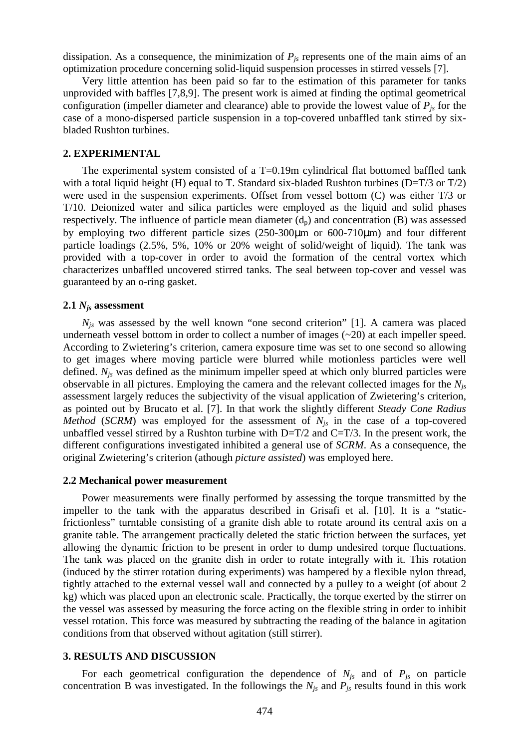dissipation. As a consequence, the minimization of  $P<sub>is</sub>$  represents one of the main aims of an optimization procedure concerning solid-liquid suspension processes in stirred vessels [7].

Very little attention has been paid so far to the estimation of this parameter for tanks unprovided with baffles [7,8,9]. The present work is aimed at finding the optimal geometrical configuration (impeller diameter and clearance) able to provide the lowest value of  $P_{is}$  for the case of a mono-dispersed particle suspension in a top-covered unbaffled tank stirred by sixbladed Rushton turbines.

## **2. EXPERIMENTAL**

The experimental system consisted of a T=0.19m cylindrical flat bottomed baffled tank with a total liquid height (H) equal to T. Standard six-bladed Rushton turbines ( $D=T/3$  or  $T/2$ ) were used in the suspension experiments. Offset from vessel bottom (C) was either T/3 or T/10. Deionized water and silica particles were employed as the liquid and solid phases respectively. The influence of particle mean diameter  $(d_p)$  and concentration  $(B)$  was assessed by employing two different particle sizes (250-300µm or 600-710µm) and four different particle loadings (2.5%, 5%, 10% or 20% weight of solid/weight of liquid). The tank was provided with a top-cover in order to avoid the formation of the central vortex which characterizes unbaffled uncovered stirred tanks. The seal between top-cover and vessel was guaranteed by an o-ring gasket.

#### **2.1** *Njs* **assessment**

 $N_{is}$  was assessed by the well known "one second criterion" [1]. A camera was placed underneath vessel bottom in order to collect a number of images (~20) at each impeller speed. According to Zwietering's criterion, camera exposure time was set to one second so allowing to get images where moving particle were blurred while motionless particles were well defined. *Njs* was defined as the minimum impeller speed at which only blurred particles were observable in all pictures. Employing the camera and the relevant collected images for the *Njs* assessment largely reduces the subjectivity of the visual application of Zwietering's criterion, as pointed out by Brucato et al. [7]. In that work the slightly different *Steady Cone Radius Method* (*SCRM*) was employed for the assessment of  $N_{is}$  in the case of a top-covered unbaffled vessel stirred by a Rushton turbine with  $D=T/2$  and  $C=T/3$ . In the present work, the different configurations investigated inhibited a general use of *SCRM*. As a consequence, the original Zwietering's criterion (athough *picture assisted*) was employed here.

#### **2.2 Mechanical power measurement**

Power measurements were finally performed by assessing the torque transmitted by the impeller to the tank with the apparatus described in Grisafi et al. [10]. It is a "staticfrictionless" turntable consisting of a granite dish able to rotate around its central axis on a granite table. The arrangement practically deleted the static friction between the surfaces, yet allowing the dynamic friction to be present in order to dump undesired torque fluctuations. The tank was placed on the granite dish in order to rotate integrally with it. This rotation (induced by the stirrer rotation during experiments) was hampered by a flexible nylon thread, tightly attached to the external vessel wall and connected by a pulley to a weight (of about 2 kg) which was placed upon an electronic scale. Practically, the torque exerted by the stirrer on the vessel was assessed by measuring the force acting on the flexible string in order to inhibit vessel rotation. This force was measured by subtracting the reading of the balance in agitation conditions from that observed without agitation (still stirrer).

### **3. RESULTS AND DISCUSSION**

For each geometrical configuration the dependence of  $N_{j<sub>s</sub>}$  and of  $P_{j<sub>s</sub>}$  on particle concentration B was investigated. In the followings the  $N_{is}$  and  $P_{is}$  results found in this work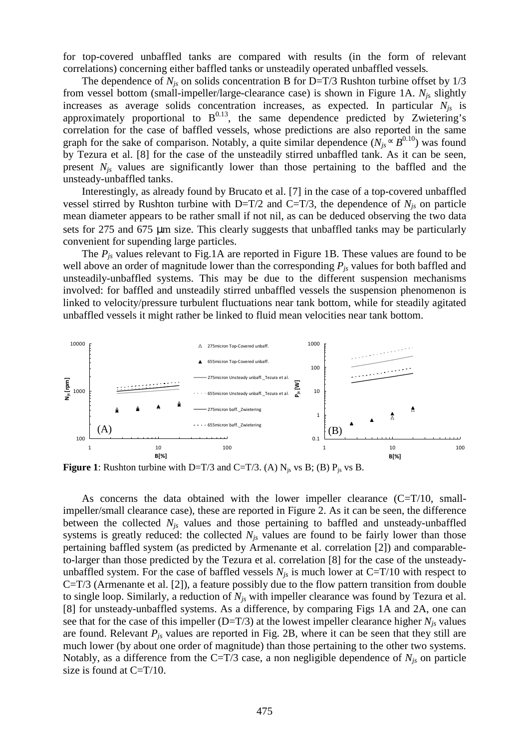for top-covered unbaffled tanks are compared with results (in the form of relevant correlations) concerning either baffled tanks or unsteadily operated unbaffled vessels*.*

The dependence of  $N_{js}$  on solids concentration B for D=T/3 Rushton turbine offset by  $1/3$ from vessel bottom (small-impeller/large-clearance case) is shown in Figure 1A. *Nj*<sup>s</sup> slightly increases as average solids concentration increases, as expected. In particular *Njs* is approximately proportional to  $B^{0.13}$ , the same dependence predicted by Zwietering's correlation for the case of baffled vessels, whose predictions are also reported in the same graph for the sake of comparison. Notably, a quite similar dependence  $(N_{js} \propto B^{0.10})$  was found by Tezura et al. [8] for the case of the unsteadily stirred unbaffled tank. As it can be seen, present *Njs* values are significantly lower than those pertaining to the baffled and the unsteady-unbaffled tanks.

Interestingly, as already found by Brucato et al. [7] in the case of a top-covered unbaffled vessel stirred by Rushton turbine with D=T/2 and C=T/3, the dependence of  $N_{is}$  on particle mean diameter appears to be rather small if not nil, as can be deduced observing the two data sets for 275 and 675 µm size. This clearly suggests that unbaffled tanks may be particularly convenient for supending large particles.

The *Pjs* values relevant to Fig.1A are reported in Figure 1B. These values are found to be well above an order of magnitude lower than the corresponding *Pjs* values for both baffled and unsteadily-unbaffled systems. This may be due to the different suspension mechanisms involved: for baffled and unsteadily stirred unbaffled vessels the suspension phenomenon is linked to velocity/pressure turbulent fluctuations near tank bottom, while for steadily agitated unbaffled vessels it might rather be linked to fluid mean velocities near tank bottom.



**Figure 1**: Rushton turbine with D=T/3 and C=T/3. (A)  $N_{js}$  vs B; (B)  $P_{js}$  vs B.

As concerns the data obtained with the lower impeller clearance  $(C=T/10, \text{ small}$ impeller/small clearance case), these are reported in Figure 2. As it can be seen, the difference between the collected *Njs* values and those pertaining to baffled and unsteady-unbaffled systems is greatly reduced: the collected  $N_{is}$  values are found to be fairly lower than those pertaining baffled system (as predicted by Armenante et al. correlation [2]) and comparableto-larger than those predicted by the Tezura et al. correlation [8] for the case of the unsteadyunbaffled system. For the case of baffled vessels  $N_{is}$  is much lower at C=T/10 with respect to C=T/3 (Armenante et al. [2]), a feature possibly due to the flow pattern transition from double to single loop. Similarly, a reduction of *Njs* with impeller clearance was found by Tezura et al. [8] for unsteady-unbaffled systems. As a difference, by comparing Figs 1A and 2A, one can see that for the case of this impeller (D=T/3) at the lowest impeller clearance higher  $N_{js}$  values are found. Relevant *Pjs* values are reported in Fig. 2B, where it can be seen that they still are much lower (by about one order of magnitude) than those pertaining to the other two systems. Notably, as a difference from the C=T/3 case, a non negligible dependence of  $N_{is}$  on particle size is found at  $C=T/10$ .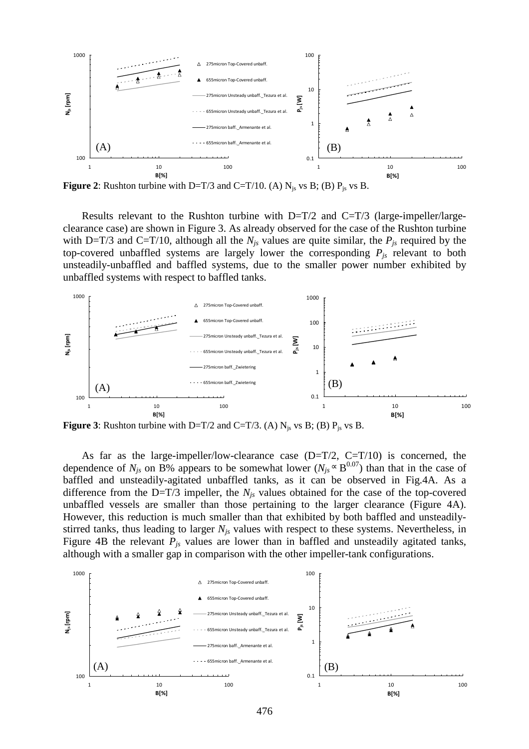

**Figure 2**: Rushton turbine with D=T/3 and C=T/10. (A)  $N_{js}$  vs B; (B)  $P_{js}$  vs B.

Results relevant to the Rushton turbine with  $D=T/2$  and  $C=T/3$  (large-impeller/largeclearance case) are shown in Figure 3. As already observed for the case of the Rushton turbine with D=T/3 and C=T/10, although all the  $N_{is}$  values are quite similar, the  $P_{is}$  required by the top-covered unbaffled systems are largely lower the corresponding  $P_{is}$  relevant to both unsteadily-unbaffled and baffled systems, due to the smaller power number exhibited by unbaffled systems with respect to baffled tanks.



**Figure 3:** Rushton turbine with D=T/2 and C=T/3. (A)  $N_{is}$  vs B; (B)  $P_{is}$  vs B.

As far as the large-impeller/low-clearance case  $(D=T/2, C=T/10)$  is concerned, the dependence of  $N_{js}$  on B% appears to be somewhat lower ( $N_{js} \propto B^{0.07}$ ) than that in the case of baffled and unsteadily-agitated unbaffled tanks, as it can be observed in Fig.4A. As a difference from the D=T/3 impeller, the  $N_{is}$  values obtained for the case of the top-covered unbaffled vessels are smaller than those pertaining to the larger clearance (Figure 4A). However, this reduction is much smaller than that exhibited by both baffled and unsteadilystirred tanks, thus leading to larger *Njs* values with respect to these systems. Nevertheless, in Figure 4B the relevant *Pjs* values are lower than in baffled and unsteadily agitated tanks, although with a smaller gap in comparison with the other impeller-tank configurations.

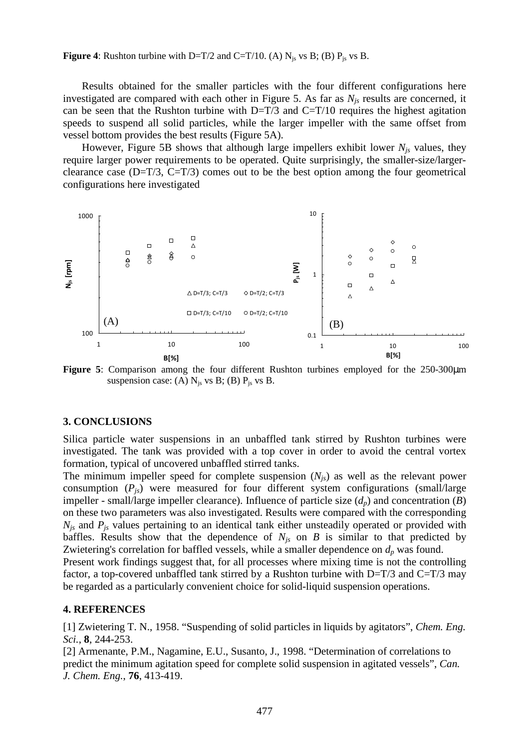**Figure 4:** Rushton turbine with D=T/2 and C=T/10. (A)  $N_{js}$  vs B; (B)  $P_{js}$  vs B.

Results obtained for the smaller particles with the four different configurations here investigated are compared with each other in Figure 5. As far as *Njs* results are concerned, it can be seen that the Rushton turbine with  $D=T/3$  and  $C=T/10$  requires the highest agitation speeds to suspend all solid particles, while the larger impeller with the same offset from vessel bottom provides the best results (Figure 5A).

However, Figure 5B shows that although large impellers exhibit lower *Njs* values, they require larger power requirements to be operated. Quite surprisingly, the smaller-size/largerclearance case  $(D=T/3, C=T/3)$  comes out to be the best option among the four geometrical configurations here investigated



**Figure 5**: Comparison among the four different Rushton turbines employed for the 250-300µm suspension case: (A)  $N_{js}$  vs B; (B)  $P_{js}$  vs B.

## **3. CONCLUSIONS**

Silica particle water suspensions in an unbaffled tank stirred by Rushton turbines were investigated. The tank was provided with a top cover in order to avoid the central vortex formation, typical of uncovered unbaffled stirred tanks.

The minimum impeller speed for complete suspension  $(N<sub>js</sub>)$  as well as the relevant power consumption  $(P_{is})$  were measured for four different system configurations (small/large impeller - small/large impeller clearance). Influence of particle size (*dp*) and concentration (*B*) on these two parameters was also investigated. Results were compared with the corresponding *Njs* and *Pjs* values pertaining to an identical tank either unsteadily operated or provided with baffles. Results show that the dependence of  $N_{is}$  on  $B$  is similar to that predicted by Zwietering's correlation for baffled vessels, while a smaller dependence on  $d<sub>p</sub>$  was found.

Present work findings suggest that, for all processes where mixing time is not the controlling factor, a top-covered unbaffled tank stirred by a Rushton turbine with  $D=T/3$  and  $C=T/3$  may be regarded as a particularly convenient choice for solid-liquid suspension operations.

## **4. REFERENCES**

[1] Zwietering T. N., 1958. "Suspending of solid particles in liquids by agitators", *Chem. Eng. Sci.*, **8**, 244-253.

[2] Armenante, P.M., Nagamine, E.U., Susanto, J., 1998. "Determination of correlations to predict the minimum agitation speed for complete solid suspension in agitated vessels", *Can. J. Chem. Eng.*, **76**, 413-419.